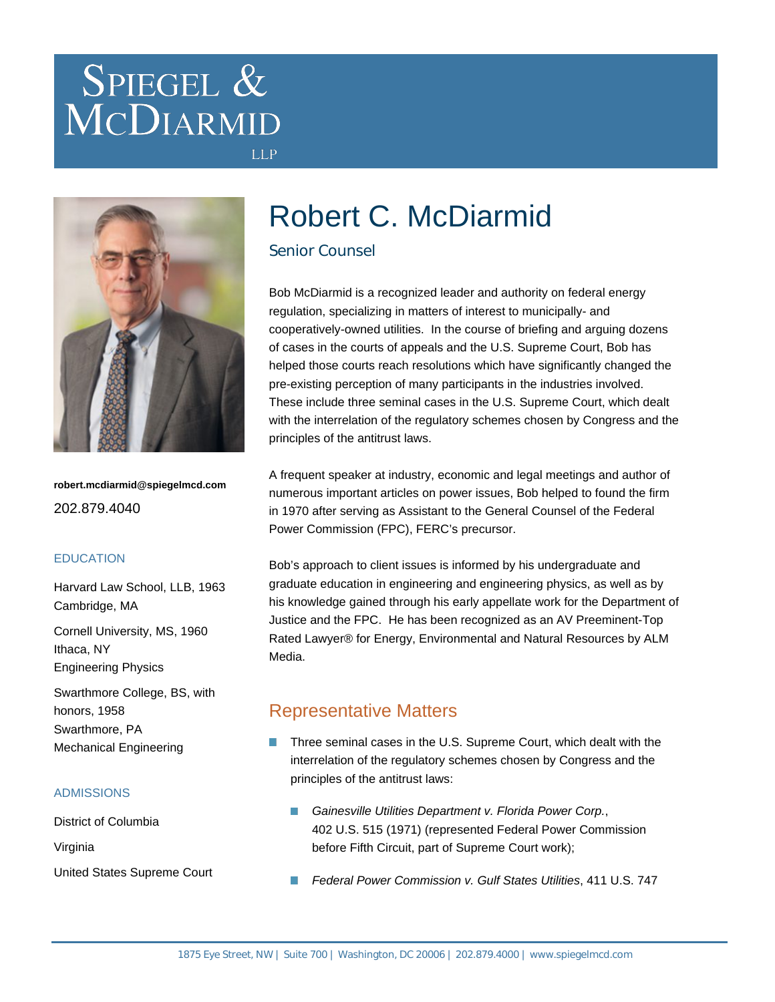# SPIEGEL & MCDIARMID



**robert.mcdiarmid@spiegelmcd.com** 202.879.4040

#### **EDUCATION**

Harvard Law School, LLB, 1963 Cambridge, MA

Cornell University, MS, 1960 Ithaca, NY Engineering Physics

Swarthmore College, BS, with honors, 1958 Swarthmore, PA Mechanical Engineering

#### ADMISSIONS

District of Columbia Virginia United States Supreme Court

# Robert C. McDiarmid

#### Senior Counsel

**LLP** 

Bob McDiarmid is a recognized leader and authority on federal energy regulation, specializing in matters of interest to municipally- and cooperatively-owned utilities. In the course of briefing and arguing dozens of cases in the courts of appeals and the U.S. Supreme Court, Bob has helped those courts reach resolutions which have significantly changed the pre-existing perception of many participants in the industries involved. These include three seminal cases in the U.S. Supreme Court, which dealt with the interrelation of the regulatory schemes chosen by Congress and the principles of the antitrust laws.

A frequent speaker at industry, economic and legal meetings and author of numerous important articles on power issues, Bob helped to found the firm in 1970 after serving as Assistant to the General Counsel of the Federal Power Commission (FPC), FERC's precursor.

Bob's approach to client issues is informed by his undergraduate and graduate education in engineering and engineering physics, as well as by his knowledge gained through his early appellate work for the Department of Justice and the FPC. He has been recognized as an AV Preeminent-Top Rated Lawyer® for Energy, Environmental and Natural Resources by ALM Media.

### Representative Matters

- Three seminal cases in the U.S. Supreme Court, which dealt with the interrelation of the regulatory schemes chosen by Congress and the principles of the antitrust laws:
	- Gainesville Utilities Department v. Florida Power Corp., 402 U.S. 515 (1971) (represented Federal Power Commission before Fifth Circuit, part of Supreme Court work);
	- **In** Federal Power Commission v. Gulf States Utilities, 411 U.S. 747